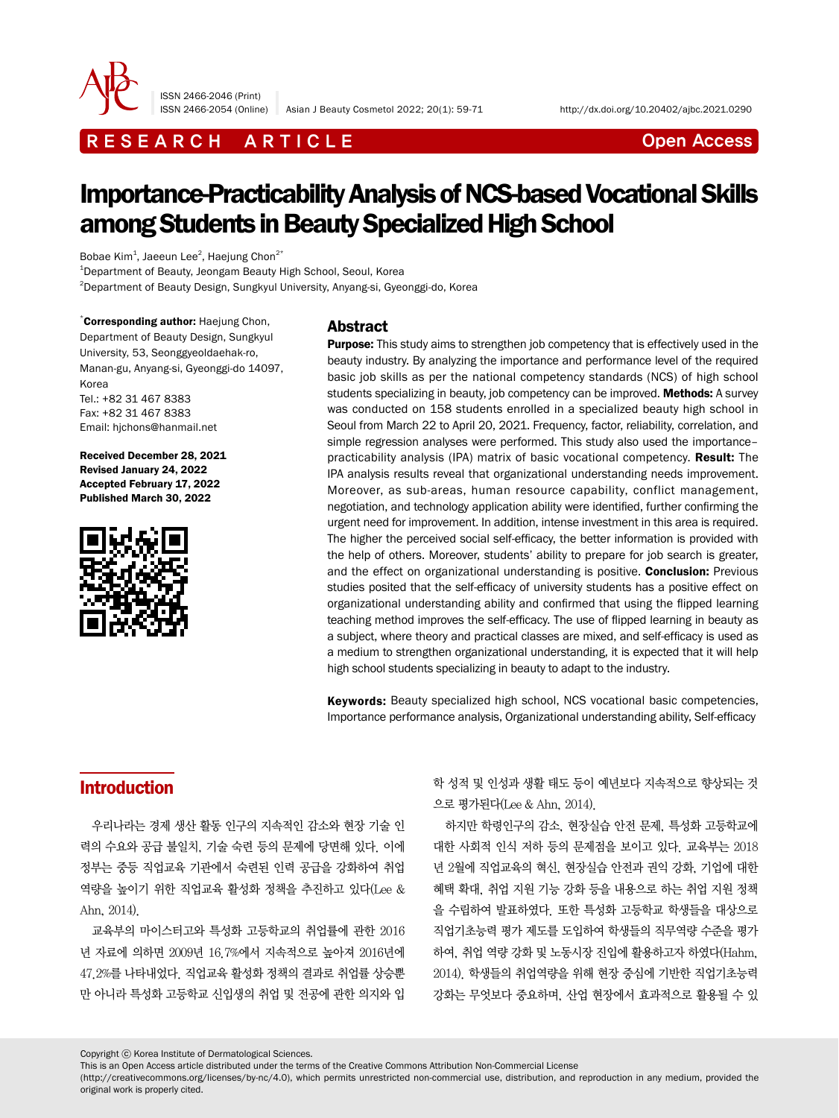

ISSN 2466-2046 (Print)

ISSN 2466-2054 (Online) Asian J Beauty Cosmetol 2022; 20(1): 59-71 http://dx.doi.org/10.20402/ajbc.2021.0290

# R E S E A R C H A R T I C L E CHE COME CONTROLLER CONTROLLER CONTROLLER CONTROLLER CONTROLLER CONTROLLER CONTROLLER CONTROLLER CONTROLLER CONTROLLER CONTROLLER CONTROLLER CONTROLLER CONTROLLER CONTROLLER CONTROLLER CONTROL

# Importance-Practicability Analysis of NCS-based Vocational Skills among Students in Beauty Specialized High School

Bobae Kim $^1$ , Jaeeun Lee $^2$ , Haejung Chon $^{2^\ast}$ 

1 Department of Beauty, Jeongam Beauty High School, Seoul, Korea 2 Department of Beauty Design, Sungkyul University, Anyang-si, Gyeonggi-do, Korea

\*Corresponding author: Haejung Chon, Department of Beauty Design, Sungkyul University, 53, Seonggyeoldaehak-ro, Manan-gu, Anyang-si, Gyeonggi-do 14097, Korea Tel.: +82 31 467 8383 Fax: +82 31 467 8383 Email: hjchons@hanmail.net

Received December 28, 2021 Revised January 24, 2022 Accepted February 17, 2022 Published March 30, 2022



### Abstract

**Purpose:** This study aims to strengthen job competency that is effectively used in the beauty industry. By analyzing the importance and performance level of the required basic job skills as per the national competency standards (NCS) of high school students specializing in beauty, job competency can be improved. Methods: A survey was conducted on 158 students enrolled in a specialized beauty high school in Seoul from March 22 to April 20, 2021. Frequency, factor, reliability, correlation, and simple regression analyses were performed. This study also used the importance– practicability analysis (IPA) matrix of basic vocational competency. Result: The IPA analysis results reveal that organizational understanding needs improvement. Moreover, as sub-areas, human resource capability, conflict management, negotiation, and technology application ability were identified, further confirming the urgent need for improvement. In addition, intense investment in this area is required. The higher the perceived social self-efficacy, the better information is provided with the help of others. Moreover, students' ability to prepare for job search is greater, and the effect on organizational understanding is positive. Conclusion: Previous studies posited that the self-efficacy of university students has a positive effect on organizational understanding ability and confirmed that using the flipped learning teaching method improves the self-efficacy. The use of flipped learning in beauty as a subject, where theory and practical classes are mixed, and self-efficacy is used as a medium to strengthen organizational understanding, it is expected that it will help high school students specializing in beauty to adapt to the industry.

Keywords: Beauty specialized high school, NCS vocational basic competencies, Importance performance analysis, Organizational understanding ability, Self-efficacy

# Introduction

우리나라는 경제 생산 활동 인구의 지속적인 감소와 현장 기술 인 력의 수요와 공급 불일치, 기술 숙련 등의 문제에 당면해 있다. 이에 정부는 중등 직업교육 기관에서 숙련된 인력 공급을 강화하여 취업 역량을 높이기 위한 직업교육 활성화 정책을 추진하고 있다(Lee & Ahn, 2014).

교육부의 마이스터고와 특성화 고등학교의 취업률에 관한 2016 년 자료에 의하면 2009년 16.7%에서 지속적으로 높아져 2016년에 47.2%를 나타내었다. 직업교육 활성화 정책의 결과로 취업률 상승뿐 만 아니라 특성화 고등학교 신입생의 취업 및 전공에 관한 의지와 입 학 성적 및 인성과 생활 태도 등이 예년보다 지속적으로 향상되는 것 으로 평가된다(Lee & Ahn, 2014).

하지만 학령인구의 감소, 현장실습 안전 문제, 특성화 고등학교에 대한 사회적 인식 저하 등의 문제점을 보이고 있다. 교육부는 2018 년 2월에 직업교육의 혁신, 현장실습 안전과 권익 강화, 기업에 대한 혜택 확대, 취업 지원 기능 강화 등을 내용으로 하는 취업 지원 정책 을 수립하여 발표하였다. 또한 특성화 고등학교 학생들을 대상으로 직업기초능력 평가 제도를 도입하여 학생들의 직무역량 수준을 평가 하여, 취업 역량 강화 및 노동시장 진입에 활용하고자 하였다(Hahm, 2014). 학생들의 취업역량을 위해 현장 중심에 기반한 직업기초능력 강화는 무엇보다 중요하며, 산업 현장에서 효과적으로 활용될 수 있

Copyright ⓒ Korea Institute of Dermatological Sciences.

This is an Open Access article distributed under the terms of the Creative Commons Attribution Non-Commercial License

(http://creativecommons.org/licenses/by-nc/4.0), which permits unrestricted non-commercial use, distribution, and reproduction in any medium, provided the original work is properly cited.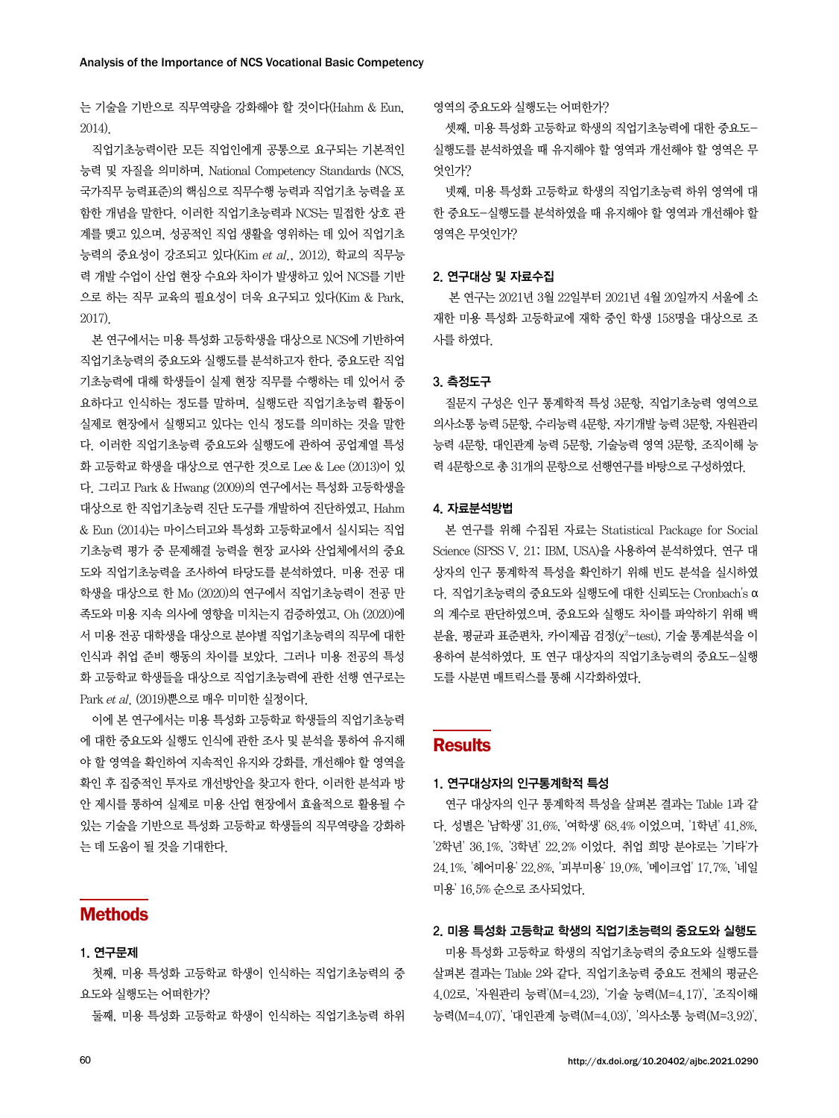는 기술을 기반으로 직무역량을 강화해야 할 것이다(Hahm & Eun, 2014).

직업기초능력이란 모든 직업인에게 공통으로 요구되는 기본적인 능력 및 자질을 의미하며, National Competency Standards (NCS, 국가직무 능력표준)의 핵심으로 직무수행 능력과 직업기초 능력을 포 함한 개념을 말한다. 이러한 직업기초능력과 NCS는 밀접한 상호 관 계를 맺고 있으며, 성공적인 직업 생활을 영위하는 데 있어 직업기초 능력의 중요성이 강조되고 있다 $(Kim et al., 2012)$ . 학교의 직무능 력 개발 수업이 산업 현장 수요와 차이가 발생하고 있어 NCS를 기반 으로 하는 직무 교육의 필요성이 더욱 요구되고 있다(Kim & Park, 2017).

본 연구에서는 미용 특성화 고등학생을 대상으로 NCS에 기반하여 직업기초능력의 중요도와 실행도를 분석하고자 한다. 중요도란 직업 기초능력에 대해 학생들이 실제 현장 직무를 수행하는 데 있어서 중 요하다고 인식하는 정도를 말하며, 실행도란 직업기초능력 활동이 실제로 현장에서 실행되고 있다는 인식 정도를 의미하는 것을 말한 다. 이러한 직업기초능력 중요도와 실행도에 관하여 공업계열 특성 화 고등학교 학생을 대상으로 연구한 것으로 Lee & Lee (2013)이 있 다. 그리고 Park & Hwang (2009)의 연구에서는 특성화 고등학생을 대상으로 한 직업기초능력 진단 도구를 개발하여 진단하였고, Hahm & Eun (2014)는 마이스터고와 특성화 고등학교에서 실시되는 직업 기초능력 평가 중 문제해결 능력을 현장 교사와 산업체에서의 중요 도와 직업기초능력을 조사하여 타당도를 분석하였다. 미용 전공 대 학생을 대상으로 한 Mo (2020)의 연구에서 직업기초능력이 전공 만 족도와 미용 지속 의사에 영향을 미치는지 검증하였고, Oh (2020)에 서 미용 전공 대학생을 대상으로 분야별 직업기초능력의 직무에 대한 인식과 취업 준비 행동의 차이를 보았다. 그러나 미용 전공의 특성 화 고등학교 학생들을 대상으로 직업기초능력에 관한 선행 연구로는 Park et al. (2019)뿐으로 매우 미미한 실정이다.

이에 본 연구에서는 미용 특성화 고등학교 학생들의 직업기초능력 에 대한 중요도와 실행도 인식에 관한 조사 및 분석을 통하여 유지해 야 할 영역을 확인하여 지속적인 유지와 강화를, 개선해야 할 영역을 확인 후 집중적인 투자로 개선방안을 찾고자 한다. 이러한 분석과 방 안 제시를 통하여 실제로 미용 산업 현장에서 효율적으로 활용될 수 있는 기술을 기반으로 특성화 고등학교 학생들의 직무역량을 강화하 는 데 도움이 될 것을 기대한다.

### **Methods**

### 1. 연구문제

첫째, 미용 특성화 고등학교 학생이 인식하는 직업기초능력의 중 요도와 실행도는 어떠한가?

둘째, 미용 특성화 고등학교 학생이 인식하는 직업기초능력 하위

영역의 중요도와 실행도는 어떠한가?

셋째, 미용 특성화 고등학교 학생의 직업기초능력에 대한 중요도-실행도를 분석하였을 때 유지해야 할 영역과 개선해야 할 영역은 무 엇인가?

넷째, 미용 특성화 고등학교 학생의 직업기초능력 하위 영역에 대 한 중요도-실행도를 분석하였을 때 유지해야 할 영역과 개선해야 할 영역은 무엇인가?

### 2. 연구대상 및 자료수집

 본 연구는 2021년 3월 22일부터 2021년 4월 20일까지 서울에 소 재한 미용 특성화 고등학교에 재학 중인 학생 158명을 대상으로 조 사를 하였다.

#### 3. 측정도구

질문지 구성은 인구 통계학적 특성 3문항, 직업기초능력 영역으로 의사소통 능력 5문항, 수리능력 4문항, 자기개발 능력 3문항, 자원관리 능력 4문항, 대인관계 능력 5문항, 기술능력 영역 3문항, 조직이해 능 력 4문항으로 총 31개의 문항으로 선행연구를 바탕으로 구성하였다.

#### 4. 자료분석방법

본 연구를 위해 수집된 자료는 Statistical Package for Social Science (SPSS V. 21; IBM, USA)을 사용하여 분석하였다. 연구 대 상자의 인구 통계학적 특성을 확인하기 위해 빈도 분석을 실시하였 다. 직업기초능력의 중요도와 실행도에 대한 신뢰도는 Cronbach's α 의 계수로 판단하였으며, 중요도와 실행도 차이를 파악하기 위해 백 분율, 평균과 표준편차, 카이제곱 검정(χ²–test), 기술 통계분석을 이 용하여 분석하였다. 또 연구 대상자의 직업기초능력의 중요도-실행 도를 사분면 매트릭스를 통해 시각화하였다.

### **Results**

#### 1. 연구대상자의 인구통계학적 특성

연구 대상자의 인구 통계학적 특성을 살펴본 결과는 Table 1과 같 다. 성별은 '남학생' 31.6%, '여학생' 68.4% 이었으며, '1학년' 41.8%, '2학년' 36.1%, '3학년' 22.2% 이었다. 취업 희망 분야로는 '기타'가 24.1%, '헤어미용' 22.8%, '피부미용' 19.0%, '메이크업' 17.7%, '네일 미용' 16.5% 순으로 조사되었다.

#### 2. 미용 특성화 고등학교 학생의 직업기초능력의 중요도와 실행도

미용 특성화 고등학교 학생의 직업기초능력의 중요도와 실행도를 살펴본 결과는 Table 2와 같다. 직업기초능력 중요도 전체의 평균은 4.02로, '자원관리 능력'(M=4.23), '기술 능력(M=4.17)', '조직이해 능력(M=4.07)', '대인관계 능력(M=4.03)', '의사소통 능력(M=3.92)',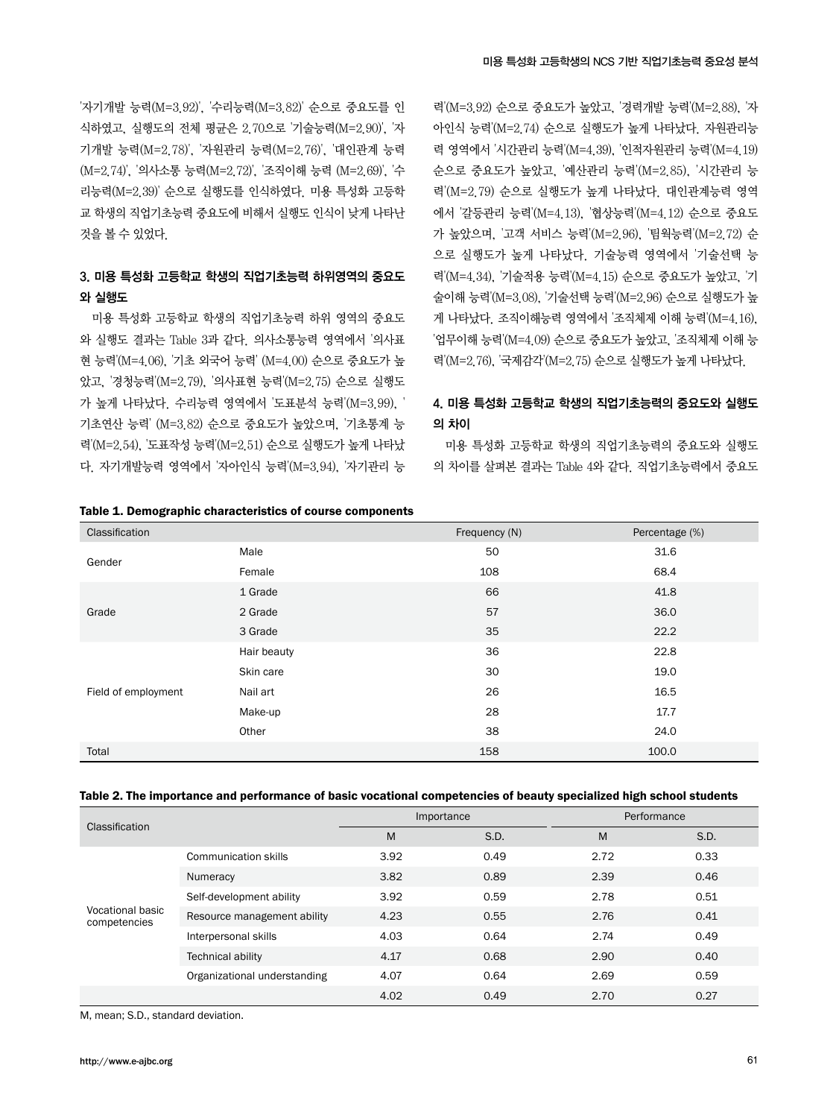'자기개발 능력(M=3.92)', '수리능력(M=3.82)' 순으로 중요도를 인 식하였고, 실행도의 전체 평균은 2.70으로 '기술능력(M=2.90)', '자 기개발 능력(M=2.78)', '자원관리 능력(M=2.76)', '대인관계 능력 (M=2.74)', '의사소통 능력(M=2.72)', '조직이해 능력 (M=2.69)', '수 리능력(M=2.39)' 순으로 실행도를 인식하였다. 미용 특성화 고등학 교 학생의 직업기초능력 중요도에 비해서 실행도 인식이 낮게 나타난 것을 볼 수 있었다.

### 3. 미용 특성화 고등학교 학생의 직업기초능력 하위영역의 중요도 와 실행도

미용 특성화 고등학교 학생의 직업기초능력 하위 영역의 중요도 와 실행도 결과는 Table 3과 같다. 의사소통능력 영역에서 '의사표 현 능력'(M=4.06), '기초 외국어 능력' (M=4.00) 순으로 중요도가 높 았고, '경청능력'(M=2.79), '의사표현 능력'(M=2.75) 순으로 실행도 가 높게 나타났다. 수리능력 영역에서 '도표분석 능력'(M=3.99), ' 기초연산 능력' (M=3.82) 순으로 중요도가 높았으며, '기초통계 능 력'(M=2.54), '도표작성 능력'(M=2.51) 순으로 실행도가 높게 나타났 다. 자기개발능력 영역에서 '자아인식 능력'(M=3.94), '자기관리 능

### Table 1. Demographic characteristics of course components

력'(M=3.92) 순으로 중요도가 높았고, '경력개발 능력'(M=2.88), '자 아인식 능력'(M=2.74) 순으로 실행도가 높게 나타났다. 자원관리능 력 영역에서 '시간관리 능력'(M=4.39), '인적자원관리 능력'(M=4.19) 순으로 중요도가 높았고, '예산관리 능력'(M=2.85), '시간관리 능 력'(M=2.79) 순으로 실행도가 높게 나타났다. 대인관계능력 영역 에서 '갈등관리 능력'(M=4.13), '협상능력'(M=4.12) 순으로 중요도 가 높았으며, '고객 서비스 능력'(M=2.96), '팀웍능력'(M=2.72) 순 으로 실행도가 높게 나타났다. 기술능력 영역에서 '기술선택 능 력'(M=4.34), '기술적용 능력'(M=4.15) 순으로 중요도가 높았고, '기 술이해 능력'(M=3.08), '기술선택 능력'(M=2.96) 순으로 실행도가 높 게 나타났다. 조직이해능력 영역에서 '조직체제 이해 능력'(M=4.16), '업무이해 능력'(M=4.09) 순으로 중요도가 높았고, '조직체제 이해 능 력'(M=2.76), '국제감각'(M=2.75) 순으로 실행도가 높게 나타났다.

### 4. 미용 특성화 고등학교 학생의 직업기초능력의 중요도와 실행도 의 차이

미용 특성화 고등학교 학생의 직업기초능력의 중요도와 실행도 의 차이를 살펴본 결과는 Table 4와 같다. 직업기초능력에서 중요도

| Classification      |             | Frequency (N) | Percentage (%) |
|---------------------|-------------|---------------|----------------|
| Gender              | Male        | 50            | 31.6           |
|                     | Female      | 108           | 68.4           |
| Grade               | 1 Grade     | 66            | 41.8           |
|                     | 2 Grade     | 57            | 36.0           |
|                     | 3 Grade     | 35            | 22.2           |
|                     | Hair beauty | 36            | 22.8           |
|                     | Skin care   | 30            | 19.0           |
| Field of employment | Nail art    | 26            | 16.5           |
|                     | Make-up     | 28            | 17.7           |
|                     | Other       | 38            | 24.0           |
| Total               |             | 158           | 100.0          |

#### Table 2. The importance and performance of basic vocational competencies of beauty specialized high school students

| Classification                   |                              |      | Importance | Performance |      |
|----------------------------------|------------------------------|------|------------|-------------|------|
|                                  |                              | M    | S.D.       | M           | S.D. |
| Vocational basic<br>competencies | Communication skills         | 3.92 | 0.49       | 2.72        | 0.33 |
|                                  | Numeracy                     | 3.82 | 0.89       | 2.39        | 0.46 |
|                                  | Self-development ability     | 3.92 | 0.59       | 2.78        | 0.51 |
|                                  | Resource management ability  | 4.23 | 0.55       | 2.76        | 0.41 |
|                                  | Interpersonal skills         | 4.03 | 0.64       | 2.74        | 0.49 |
|                                  | <b>Technical ability</b>     | 4.17 | 0.68       | 2.90        | 0.40 |
|                                  | Organizational understanding | 4.07 | 0.64       | 2.69        | 0.59 |
|                                  |                              | 4.02 | 0.49       | 2.70        | 0.27 |

M, mean; S.D., standard deviation.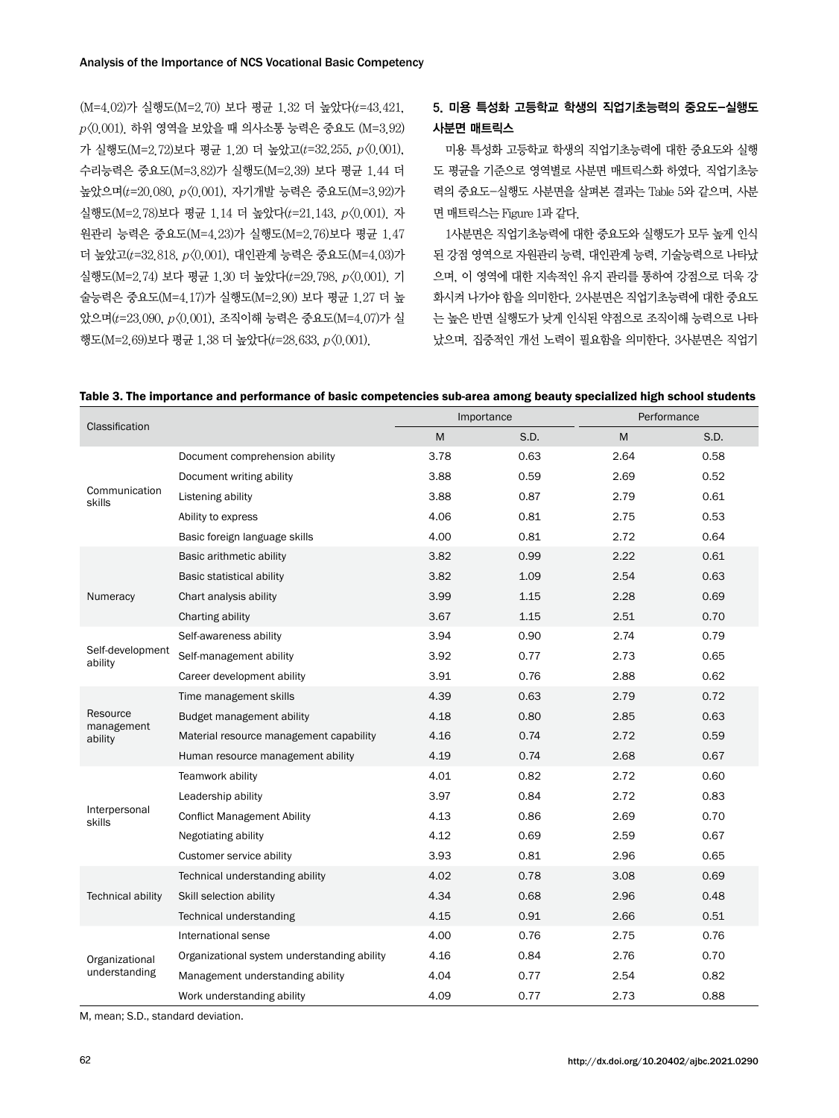(M=4.02)가 실행도(M=2.70) 보다 평균 1.32 더 높았다(t=43.421,  $p(0.001)$ . 하위 영역을 보았을 때 의사소통 능력은 중요도  $(M=3.92)$ 가 실행도(M=2.72)보다 평균 1.20 더 높았고(t=32.255, p<0.001). 수리능력은 중요도(M=3.82)가 실행도(M=2.39) 보다 평균 1.44 더 높았으며(t=20.080, p<0.001), 자기개발 능력은 중요도(M=3.92)가 실행도(M=2.78)보다 평균 1.14 더 높았다(t=21.143, p<0.001). 자 원관리 능력은 중요도(M=4.23)가 실행도(M=2.76)보다 평균 1.47 더 높았고(t=32.818, p<0.001), 대인관계 능력은 중요도(M=4.03)가 실행도(M=2.74) 보다 평균 1.30 더 높았다(t=29.798, p<0.001). 기 술능력은 중요도(M=4.17)가 실행도(M=2.90) 보다 평균 1.27 더 높 았으며(t=23.090, p<0.001), 조직이해 능력은 중요도(M=4.07)가 실 행도(M=2.69)보다 평균 1.38 더 높았다(t=28.633, p<0.001).

### 5. 미용 특성화 고등학교 학생의 직업기초능력의 중요도-실행도 사분면 매트릭스

미용 특성화 고등학교 학생의 직업기초능력에 대한 중요도와 실행 도 평균을 기준으로 영역별로 사분면 매트릭스화 하였다. 직업기초능 력의 중요도-실행도 사분면을 살펴본 결과는 Table 5와 같으며, 사분 면 매트릭스는 Figure 1과 같다.

1사분면은 직업기초능력에 대한 중요도와 실행도가 모두 높게 인식 된 강점 영역으로 자원관리 능력, 대인관계 능력, 기술능력으로 나타났 으며, 이 영역에 대한 지속적인 유지 관리를 통하여 강점으로 더욱 강 화시켜 나가야 함을 의미한다. 2사분면은 직업기초능력에 대한 중요도 는 높은 반면 실행도가 낮게 인식된 약점으로 조직이해 능력으로 나타 났으며, 집중적인 개선 노력이 필요함을 의미한다. 3사분면은 직업기

|  |  | Table 3. The importance and performance of basic competencies sub-area among beauty specialized high school students |  |
|--|--|----------------------------------------------------------------------------------------------------------------------|--|
|  |  |                                                                                                                      |  |

| Classification              |                                             |      | Importance | Performance |      |
|-----------------------------|---------------------------------------------|------|------------|-------------|------|
|                             |                                             | M    | S.D.       | M           | S.D. |
|                             | Document comprehension ability              | 3.78 | 0.63       | 2.64        | 0.58 |
|                             | Document writing ability                    | 3.88 | 0.59       | 2.69        | 0.52 |
| Communication<br>skills     | Listening ability                           | 3.88 | 0.87       | 2.79        | 0.61 |
|                             | Ability to express                          | 4.06 | 0.81       | 2.75        | 0.53 |
|                             | Basic foreign language skills               | 4.00 | 0.81       | 2.72        | 0.64 |
|                             | Basic arithmetic ability                    | 3.82 | 0.99       | 2.22        | 0.61 |
|                             | Basic statistical ability                   | 3.82 | 1.09       | 2.54        | 0.63 |
| Numeracy                    | Chart analysis ability                      | 3.99 | 1.15       | 2.28        | 0.69 |
|                             | Charting ability                            | 3.67 | 1.15       | 2.51        | 0.70 |
|                             | Self-awareness ability                      | 3.94 | 0.90       | 2.74        | 0.79 |
| Self-development<br>ability | Self-management ability                     | 3.92 | 0.77       | 2.73        | 0.65 |
|                             | Career development ability                  | 3.91 | 0.76       | 2.88        | 0.62 |
|                             | Time management skills                      | 4.39 | 0.63       | 2.79        | 0.72 |
| Resource<br>management      | Budget management ability                   | 4.18 | 0.80       | 2.85        | 0.63 |
| ability                     | Material resource management capability     | 4.16 | 0.74       | 2.72        | 0.59 |
|                             | Human resource management ability           | 4.19 | 0.74       | 2.68        | 0.67 |
|                             | Teamwork ability                            | 4.01 | 0.82       | 2.72        | 0.60 |
|                             | Leadership ability                          | 3.97 | 0.84       | 2.72        | 0.83 |
| Interpersonal<br>skills     | <b>Conflict Management Ability</b>          | 4.13 | 0.86       | 2.69        | 0.70 |
|                             | Negotiating ability                         | 4.12 | 0.69       | 2.59        | 0.67 |
|                             | Customer service ability                    | 3.93 | 0.81       | 2.96        | 0.65 |
|                             | Technical understanding ability             | 4.02 | 0.78       | 3.08        | 0.69 |
| <b>Technical ability</b>    | Skill selection ability                     | 4.34 | 0.68       | 2.96        | 0.48 |
|                             | Technical understanding                     | 4.15 | 0.91       | 2.66        | 0.51 |
|                             | International sense                         | 4.00 | 0.76       | 2.75        | 0.76 |
| Organizational              | Organizational system understanding ability | 4.16 | 0.84       | 2.76        | 0.70 |
| understanding               | Management understanding ability            | 4.04 | 0.77       | 2.54        | 0.82 |
|                             | Work understanding ability                  | 4.09 | 0.77       | 2.73        | 0.88 |

M, mean; S.D., standard deviation.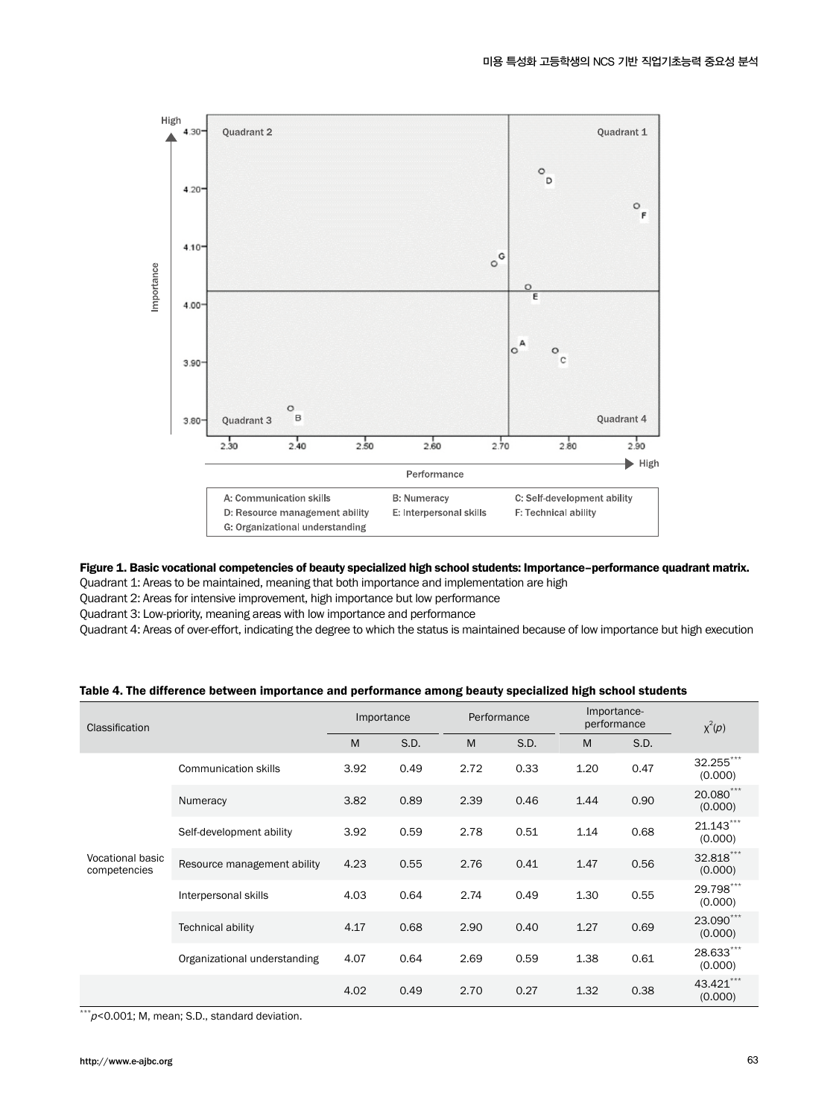

#### Figure 1. Basic vocational competencies of beauty specialized high school students: Importance–performance quadrant matrix.

Quadrant 1: Areas to be maintained, meaning that both importance and implementation are high

Quadrant 2: Areas for intensive improvement, high importance but low performance

Quadrant 3: Low-priority, meaning areas with low importance and performance

Quadrant 4: Areas of over-effort, indicating the degree to which the status is maintained because of low importance but high execution

| <b>Classification</b>            |                              | Importance |      | Performance |      | Importance-<br>performance |      | $\chi^2(\rho)$       |  |
|----------------------------------|------------------------------|------------|------|-------------|------|----------------------------|------|----------------------|--|
|                                  |                              | M          | S.D. | M           | S.D. | M                          | S.D. |                      |  |
| Vocational basic<br>competencies | Communication skills         | 3.92       | 0.49 | 2.72        | 0.33 | 1.20                       | 0.47 | 32.255***<br>(0.000) |  |
|                                  | Numeracy                     | 3.82       | 0.89 | 2.39        | 0.46 | 1.44                       | 0.90 | 20.080***<br>(0.000) |  |
|                                  | Self-development ability     | 3.92       | 0.59 | 2.78        | 0.51 | 1.14                       | 0.68 | 21.143***<br>(0.000) |  |
|                                  | Resource management ability  | 4.23       | 0.55 | 2.76        | 0.41 | 1.47                       | 0.56 | 32.818***<br>(0.000) |  |
|                                  | Interpersonal skills         | 4.03       | 0.64 | 2.74        | 0.49 | 1.30                       | 0.55 | 29.798***<br>(0.000) |  |
|                                  | <b>Technical ability</b>     | 4.17       | 0.68 | 2.90        | 0.40 | 1.27                       | 0.69 | 23.090***<br>(0.000) |  |
|                                  | Organizational understanding | 4.07       | 0.64 | 2.69        | 0.59 | 1.38                       | 0.61 | 28.633***<br>(0.000) |  |
|                                  |                              | 4.02       | 0.49 | 2.70        | 0.27 | 1.32                       | 0.38 | 43.421***<br>(0.000) |  |

### Table 4. The difference between importance and performance among beauty specialized high school students

 $\overline{f^{**}p}$ <0.001; M, mean; S.D., standard deviation.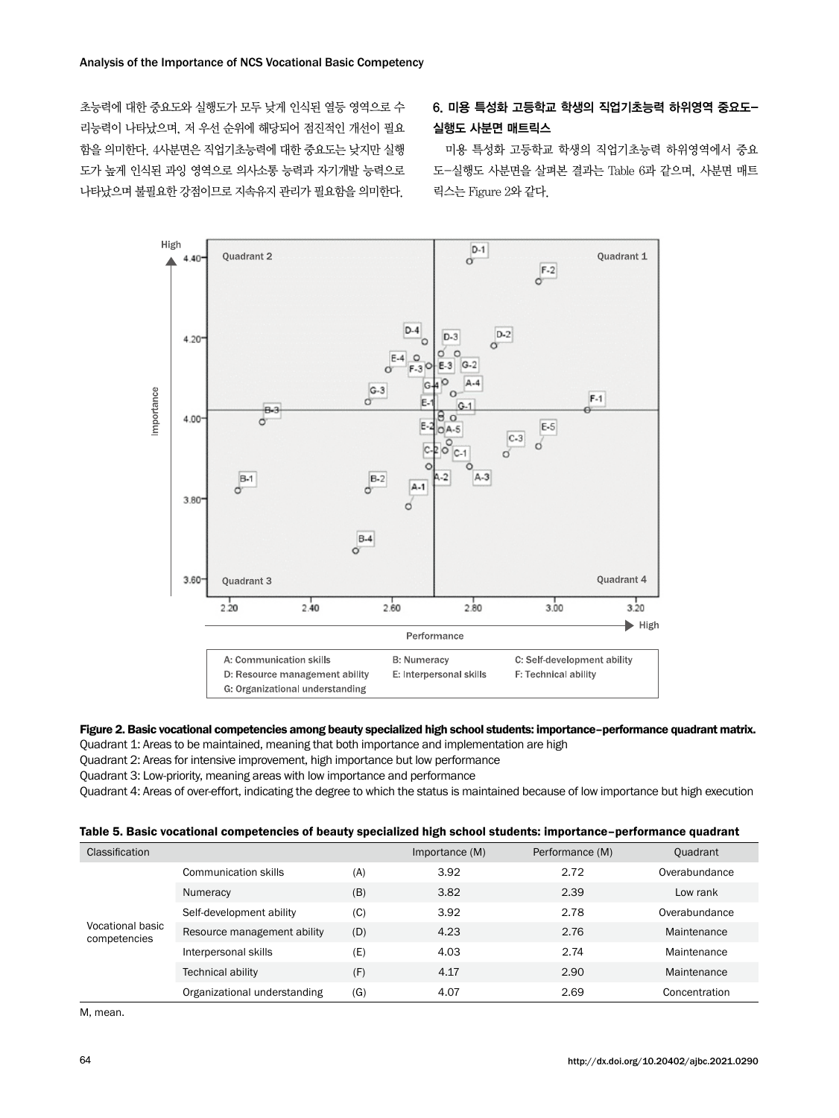초능력에 대한 중요도와 실행도가 모두 낮게 인식된 열등 영역으로 수 리능력이 나타났으며, 저 우선 순위에 해당되어 점진적인 개선이 필요 함을 의미한다. 4사분면은 직업기초능력에 대한 중요도는 낮지만 실행 도가 높게 인식된 과잉 영역으로 의사소통 능력과 자기개발 능력으로 나타났으며 불필요한 강점이므로 지속유지 관리가 필요함을 의미한다.

### 6. 미용 특성화 고등학교 학생의 직업기초능력 하위영역 중요도-실행도 사분면 매트릭스

미용 특성화 고등학교 학생의 직업기초능력 하위영역에서 중요 도-실행도 사분면을 살펴본 결과는 Table 6과 같으며, 사분면 매트 릭스는 Figure 2와 같다.



### Figure 2. Basic vocational competencies among beauty specialized high school students: importance–performance quadrant matrix.

Quadrant 1: Areas to be maintained, meaning that both importance and implementation are high

Quadrant 2: Areas for intensive improvement, high importance but low performance

Quadrant 3: Low-priority, meaning areas with low importance and performance

Quadrant 4: Areas of over-effort, indicating the degree to which the status is maintained because of low importance but high execution

|  |  |  |  |  | Table 5. Basic vocational competencies of beauty specialized high school students: importance-performance quadrant |  |  |
|--|--|--|--|--|--------------------------------------------------------------------------------------------------------------------|--|--|
|--|--|--|--|--|--------------------------------------------------------------------------------------------------------------------|--|--|

| Classification                   |                              |     | Importance (M) | Performance (M) | Quadrant      |
|----------------------------------|------------------------------|-----|----------------|-----------------|---------------|
| Vocational basic<br>competencies | Communication skills         | (A) | 3.92           | 2.72            | Overabundance |
|                                  | Numeracy                     | (B) | 3.82           | 2.39            | Low rank      |
|                                  | Self-development ability     | (C) | 3.92           | 2.78            | Overabundance |
|                                  | Resource management ability  | (D) | 4.23           | 2.76            | Maintenance   |
|                                  | Interpersonal skills         | (E) | 4.03           | 2.74            | Maintenance   |
|                                  | Technical ability            | (F) | 4.17           | 2.90            | Maintenance   |
|                                  | Organizational understanding | (G) | 4.07           | 2.69            | Concentration |

M, mean.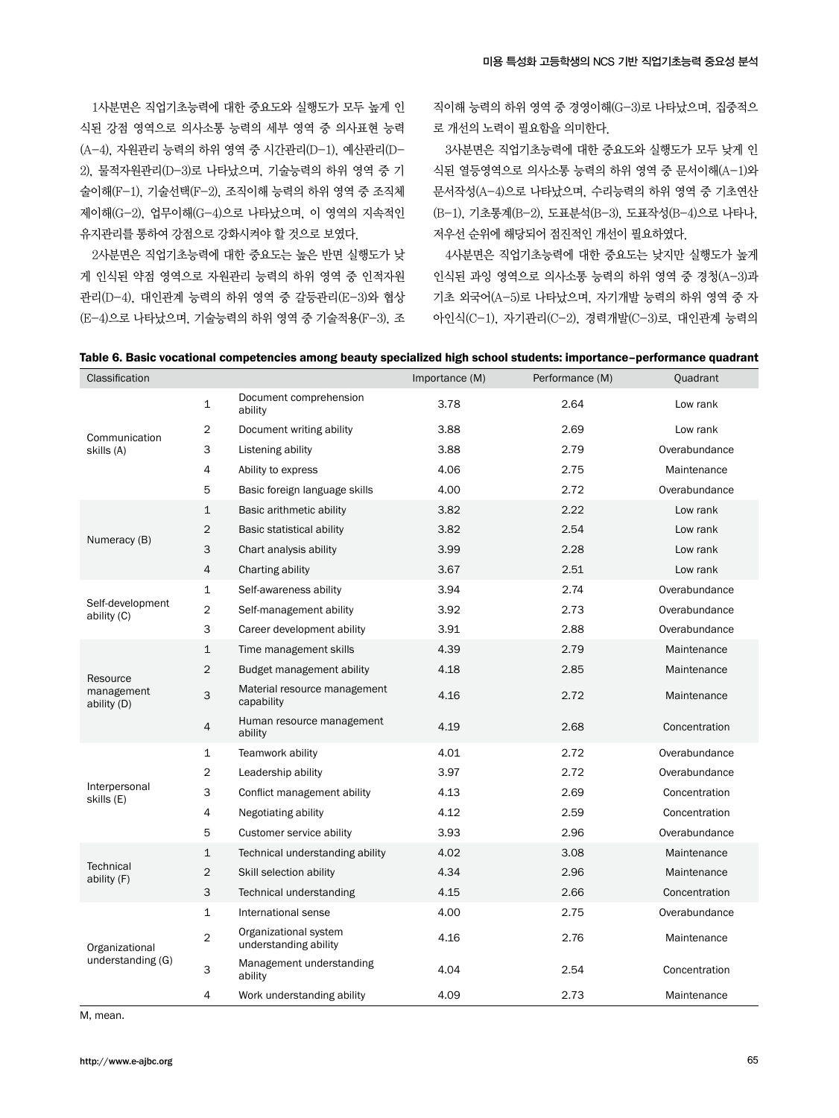1사분면은 직업기초능력에 대한 중요도와 실행도가 모두 높게 인 식된 강점 영역으로 의사소통 능력의 세부 영역 중 의사표현 능력 (A-4), 자원관리 능력의 하위 영역 중 시간관리(D-1), 예산관리(D-2), 물적자원관리(D-3)로 나타났으며, 기술능력의 하위 영역 중 기 술이해(F-1), 기술선택(F-2), 조직이해 능력의 하위 영역 중 조직체 제이해(G-2), 업무이해(G-4)으로 나타났으며, 이 영역의 지속적인 유지관리를 통하여 강점으로 강화시켜야 할 것으로 보였다.

2사분면은 직업기초능력에 대한 중요도는 높은 반면 실행도가 낮 게 인식된 약점 영역으로 자원관리 능력의 하위 영역 중 인적자원 관리(D-4), 대인관계 능력의 하위 영역 중 갈등관리(E-3)와 협상 (E-4)으로 나타났으며, 기술능력의 하위 영역 중 기술적용(F-3), 조 직이해 능력의 하위 영역 중 경영이해(G-3)로 나타났으며, 집중적으 로 개선의 노력이 필요함을 의미한다.

3사분면은 직업기초능력에 대한 중요도와 실행도가 모두 낮게 인 식된 열등영역으로 의사소통 능력의 하위 영역 중 문서이해(A-1)와 문서작성(A-4)으로 나타났으며, 수리능력의 하위 영역 중 기초연산 (B-1), 기초통계(B-2), 도표분석(B-3), 도표작성(B-4)으로 나타나, 저우선 순위에 해당되어 점진적인 개선이 필요하였다.

4사분면은 직업기초능력에 대한 중요도는 낮지만 실행도가 높게 인식된 과잉 영역으로 의사소통 능력의 하위 영역 중 경청(A-3)과 기초 외국어(A-5)로 나타났으며, 자기개발 능력의 하위 영역 중 자 아인식(C-1), 자기관리(C-2), 경력개발(C-3)로, 대인관계 능력의

|  |  |  | Table 6. Basic vocational competencies among beauty specialized high school students: importance-performance quadrant |  |  |  |  |  |
|--|--|--|-----------------------------------------------------------------------------------------------------------------------|--|--|--|--|--|
|--|--|--|-----------------------------------------------------------------------------------------------------------------------|--|--|--|--|--|

| Classification                  |                |                                                | Importance (M) | Performance (M) | Quadrant      |
|---------------------------------|----------------|------------------------------------------------|----------------|-----------------|---------------|
|                                 | 1              | Document comprehension<br>ability              | 3.78           | 2.64            | Low rank      |
| Communication                   | 2              | Document writing ability                       | 3.88           | 2.69            | Low rank      |
| skills (A)                      | 3              | Listening ability                              | 3.88           | 2.79            | Overabundance |
|                                 | 4              | Ability to express                             | 4.06           | 2.75            | Maintenance   |
|                                 | 5              | Basic foreign language skills                  | 4.00           | 2.72            | Overabundance |
|                                 | $\mathbf 1$    | Basic arithmetic ability                       | 3.82           | 2.22            | Low rank      |
|                                 | $\overline{2}$ | Basic statistical ability                      | 3.82           | 2.54            | Low rank      |
| Numeracy (B)                    | 3              | Chart analysis ability                         | 3.99           | 2.28            | Low rank      |
|                                 | $\overline{4}$ | Charting ability                               | 3.67           | 2.51            | Low rank      |
|                                 | 1              | Self-awareness ability                         | 3.94           | 2.74            | Overabundance |
| Self-development<br>ability (C) | $\overline{c}$ | Self-management ability                        | 3.92           | 2.73            | Overabundance |
|                                 | 3              | Career development ability                     | 3.91           | 2.88            | Overabundance |
|                                 | $\mathbf{1}$   | Time management skills                         | 4.39           | 2.79            | Maintenance   |
| Resource                        | $\overline{2}$ | Budget management ability                      | 4.18           | 2.85            | Maintenance   |
| management<br>ability (D)       | 3              | Material resource management<br>capability     | 4.16           | 2.72            | Maintenance   |
|                                 | $\overline{4}$ | Human resource management<br>ability           | 4.19           | 2.68            | Concentration |
|                                 | 1              | Teamwork ability                               | 4.01           | 2.72            | Overabundance |
|                                 | $\overline{2}$ | Leadership ability                             | 3.97           | 2.72            | Overabundance |
| Interpersonal<br>skills (E)     | 3              | Conflict management ability                    | 4.13           | 2.69            | Concentration |
|                                 | 4              | Negotiating ability                            | 4.12           | 2.59            | Concentration |
|                                 | 5              | Customer service ability                       | 3.93           | 2.96            | Overabundance |
|                                 | $\mathbf{1}$   | Technical understanding ability                | 4.02           | 3.08            | Maintenance   |
| <b>Technical</b><br>ability (F) | $\overline{2}$ | Skill selection ability                        | 4.34           | 2.96            | Maintenance   |
|                                 | $\mathsf 3$    | Technical understanding                        | 4.15           | 2.66            | Concentration |
|                                 | $\mathbf 1$    | International sense                            | 4.00           | 2.75            | Overabundance |
| Organizational                  | $\overline{2}$ | Organizational system<br>understanding ability | 4.16           | 2.76            | Maintenance   |
| understanding (G)               | 3              | Management understanding<br>ability            | 4.04           | 2.54            | Concentration |
|                                 | $\overline{4}$ | Work understanding ability                     | 4.09           | 2.73            | Maintenance   |

M, mean.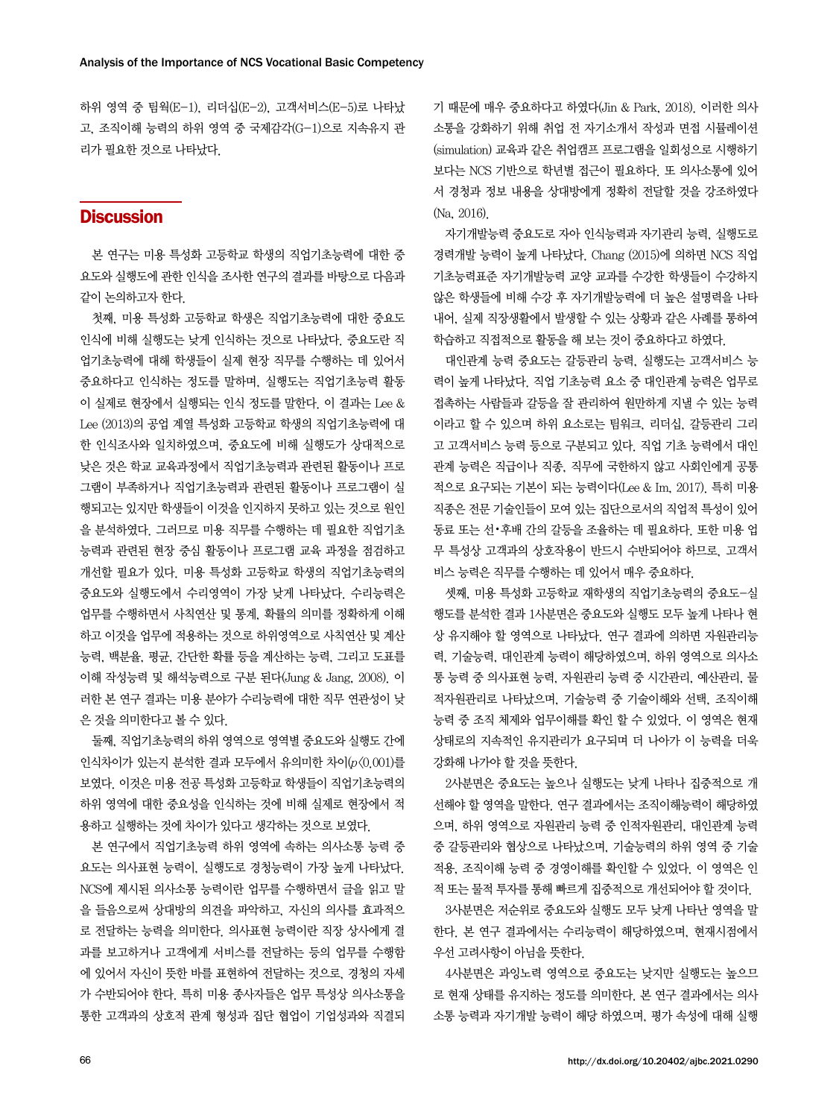하위 영역 중 팀웍(E-1), 리더십(E-2), 고객서비스(E-5)로 나타났 고, 조직이해 능력의 하위 영역 중 국제감각(G-1)으로 지속유지 관 리가 필요한 것으로 나타났다.

### **Discussion**

본 연구는 미용 특성화 고등학교 학생의 직업기초능력에 대한 중 요도와 실행도에 관한 인식을 조사한 연구의 결과를 바탕으로 다음과 같이 논의하고자 한다.

첫째, 미용 특성화 고등학교 학생은 직업기초능력에 대한 중요도 인식에 비해 실행도는 낮게 인식하는 것으로 나타났다. 중요도란 직 업기초능력에 대해 학생들이 실제 현장 직무를 수행하는 데 있어서 중요하다고 인식하는 정도를 말하며, 실행도는 직업기초능력 활동 이 실제로 현장에서 실행되는 인식 정도를 말한다. 이 결과는 Lee & Lee (2013)의 공업 계열 특성화 고등학교 학생의 직업기초능력에 대 한 인식조사와 일치하였으며, 중요도에 비해 실행도가 상대적으로 낮은 것은 학교 교육과정에서 직업기초능력과 관련된 활동이나 프로 그램이 부족하거나 직업기초능력과 관련된 활동이나 프로그램이 실 행되고는 있지만 학생들이 이것을 인지하지 못하고 있는 것으로 원인 을 분석하였다. 그러므로 미용 직무를 수행하는 데 필요한 직업기초 능력과 관련된 현장 중심 활동이나 프로그램 교육 과정을 점검하고 개선할 필요가 있다. 미용 특성화 고등학교 학생의 직업기초능력의 중요도와 실행도에서 수리영역이 가장 낮게 나타났다. 수리능력은 업무를 수행하면서 사칙연산 및 통계, 확률의 의미를 정확하게 이해 하고 이것을 업무에 적용하는 것으로 하위영역으로 사칙연산 및 계산 능력, 백분율, 평균, 간단한 확률 등을 계산하는 능력, 그리고 도표를 이해 작성능력 및 해석능력으로 구분 된다(Jung & Jang, 2008). 이 러한 본 연구 결과는 미용 분야가 수리능력에 대한 직무 연관성이 낮 은 것을 의미한다고 볼 수 있다.

둘째, 직업기초능력의 하위 영역으로 영역별 중요도와 실행도 간에 인식차이가 있는지 분석한 결과 모두에서 유의미한 차이(p<0.001)를 보였다. 이것은 미용 전공 특성화 고등학교 학생들이 직업기초능력의 하위 영역에 대한 중요성을 인식하는 것에 비해 실제로 현장에서 적 용하고 실행하는 것에 차이가 있다고 생각하는 것으로 보였다.

본 연구에서 직업기초능력 하위 영역에 속하는 의사소통 능력 중 요도는 의사표현 능력이, 실행도로 경청능력이 가장 높게 나타났다. NCS에 제시된 의사소통 능력이란 업무를 수행하면서 글을 읽고 말 을 들음으로써 상대방의 의견을 파악하고, 자신의 의사를 효과적으 로 전달하는 능력을 의미한다. 의사표현 능력이란 직장 상사에게 결 과를 보고하거나 고객에게 서비스를 전달하는 등의 업무를 수행함 에 있어서 자신이 뜻한 바를 표현하여 전달하는 것으로, 경청의 자세 가 수반되어야 한다. 특히 미용 종사자들은 업무 특성상 의사소통을 통한 고객과의 상호적 관계 형성과 집단 협업이 기업성과와 직결되 기 때문에 매우 중요하다고 하였다(Jin & Park, 2018). 이러한 의사 소통을 강화하기 위해 취업 전 자기소개서 작성과 면접 시뮬레이션 (simulation) 교육과 같은 취업캠프 프로그램을 일회성으로 시행하기 보다는 NCS 기반으로 학년별 접근이 필요하다. 또 의사소통에 있어 서 경청과 정보 내용을 상대방에게 정확히 전달할 것을 강조하였다 (Na, 2016).

자기개발능력 중요도로 자아 인식능력과 자기관리 능력, 실행도로 경력개발 능력이 높게 나타났다. Chang (2015)에 의하면 NCS 직업 기초능력표준 자기개발능력 교양 교과를 수강한 학생들이 수강하지 않은 학생들에 비해 수강 후 자기개발능력에 더 높은 설명력을 나타 내어, 실제 직장생활에서 발생할 수 있는 상황과 같은 사례를 통하여 학습하고 직접적으로 활동을 해 보는 것이 중요하다고 하였다.

대인관계 능력 중요도는 갈등관리 능력, 실행도는 고객서비스 능 력이 높게 나타났다. 직업 기초능력 요소 중 대인관계 능력은 업무로 접촉하는 사람들과 갈등을 잘 관리하여 원만하게 지낼 수 있는 능력 이라고 할 수 있으며 하위 요소로는 팀워크, 리더십, 갈등관리 그리 고 고객서비스 능력 등으로 구분되고 있다. 직업 기초 능력에서 대인 관계 능력은 직급이나 직종, 직무에 국한하지 않고 사회인에게 공통 적으로 요구되는 기본이 되는 능력이다(Lee & Im, 2017). 특히 미용 직종은 전문 기술인들이 모여 있는 집단으로서의 직업적 특성이 있어 동료 또는 선•후배 간의 갈등을 조율하는 데 필요하다. 또한 미용 업 무 특성상 고객과의 상호작용이 반드시 수반되어야 하므로, 고객서 비스 능력은 직무를 수행하는 데 있어서 매우 중요하다.

셋째, 미용 특성화 고등학교 재학생의 직업기초능력의 중요도-실 행도를 분석한 결과 1사분면은 중요도와 실행도 모두 높게 나타나 현 상 유지해야 할 영역으로 나타났다. 연구 결과에 의하면 자원관리능 력, 기술능력, 대인관계 능력이 해당하였으며, 하위 영역으로 의사소 통 능력 중 의사표현 능력, 자원관리 능력 중 시간관리, 예산관리, 물 적자원관리로 나타났으며, 기술능력 중 기술이해와 선택, 조직이해 능력 중 조직 체제와 업무이해를 확인 할 수 있었다. 이 영역은 현재 상태로의 지속적인 유지관리가 요구되며 더 나아가 이 능력을 더욱 강화해 나가야 할 것을 뜻한다.

2사분면은 중요도는 높으나 실행도는 낮게 나타나 집중적으로 개 선해야 할 영역을 말한다. 연구 결과에서는 조직이해능력이 해당하였 으며, 하위 영역으로 자원관리 능력 중 인적자원관리, 대인관계 능력 중 갈등관리와 협상으로 나타났으며, 기술능력의 하위 영역 중 기술 적용, 조직이해 능력 중 경영이해를 확인할 수 있었다. 이 영역은 인 적 또는 물적 투자를 통해 빠르게 집중적으로 개선되어야 할 것이다.

3사분면은 저순위로 중요도와 실행도 모두 낮게 나타난 영역을 말 한다. 본 연구 결과에서는 수리능력이 해당하였으며, 현재시점에서 우선 고려사항이 아님을 뜻한다.

4사분면은 과잉노력 영역으로 중요도는 낮지만 실행도는 높으므 로 현재 상태를 유지하는 정도를 의미한다. 본 연구 결과에서는 의사 소통 능력과 자기개발 능력이 해당 하였으며, 평가 속성에 대해 실행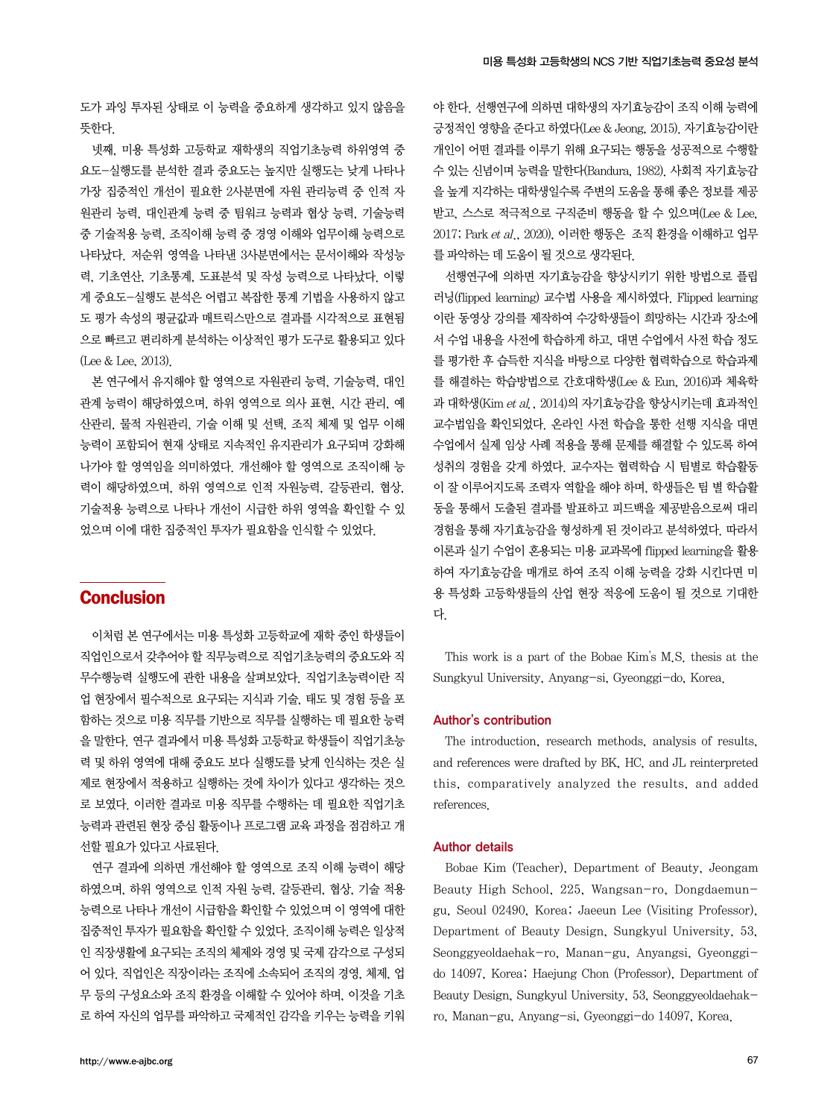도가 과잉 투자된 상태로 이 능력을 중요하게 생각하고 있지 않음을 뜻한다.

넷째, 미용 특성화 고등학교 재학생의 직업기초능력 하위영역 중 요도-실행도를 분석한 결과 중요도는 높지만 실행도는 낮게 나타나 가장 집중적인 개선이 필요한 2사분면에 자원 관리능력 중 인적 자 원관리 능력, 대인관계 능력 중 팀워크 능력과 협상 능력, 기술능력 중 기술적용 능력, 조직이해 능력 중 경영 이해와 업무이해 능력으로 나타났다. 저순위 영역을 나타낸 3사분면에서는 문서이해와 작성능 력, 기초연산, 기초통계, 도표분석 및 작성 능력으로 나타났다. 이렇 게 중요도-실행도 분석은 어렵고 복잡한 통계 기법을 사용하지 않고 도 평가 속성의 평균값과 매트릭스만으로 결과를 시각적으로 표현됨 으로 빠르고 편리하게 분석하는 이상적인 평가 도구로 활용되고 있다 (Lee & Lee, 2013).

본 연구에서 유지해야 할 영역으로 자원관리 능력, 기술능력, 대인 관계 능력이 해당하였으며, 하위 영역으로 의사 표현, 시간 관리, 예 산관리, 물적 자원관리, 기술 이해 및 선택, 조직 체제 및 업무 이해 능력이 포함되어 현재 상태로 지속적인 유지관리가 요구되며 강화해 나가야 할 영역임을 의미하였다. 개선해야 할 영역으로 조직이해 능 력이 해당하였으며, 하위 영역으로 인적 자원능력, 갈등관리, 협상, 기술적용 능력으로 나타나 개선이 시급한 하위 영역을 확인할 수 있 었으며 이에 대한 집중적인 투자가 필요함을 인식할 수 있었다.

# **Conclusion**

이처럼 본 연구에서는 미용 특성화 고등학교에 재학 중인 학생들이 직업인으로서 갖추어야 할 직무능력으로 직업기초능력의 중요도와 직 무수행능력 실행도에 관한 내용을 살펴보았다. 직업기초능력이란 직 업 현장에서 필수적으로 요구되는 지식과 기술, 태도 및 경험 등을 포 함하는 것으로 미용 직무를 기반으로 직무를 실행하는 데 필요한 능력 을 말한다. 연구 결과에서 미용 특성화 고등학교 학생들이 직업기초능 력 및 하위 영역에 대해 중요도 보다 실행도를 낮게 인식하는 것은 실 제로 현장에서 적용하고 실행하는 것에 차이가 있다고 생각하는 것으 로 보였다. 이러한 결과로 미용 직무를 수행하는 데 필요한 직업기초 능력과 관련된 현장 중심 활동이나 프로그램 교육 과정을 점검하고 개 선할 필요가 있다고 사료된다.

연구 결과에 의하면 개선해야 할 영역으로 조직 이해 능력이 해당 하였으며, 하위 영역으로 인적 자원 능력, 갈등관리, 협상, 기술 적용 능력으로 나타나 개선이 시급함을 확인할 수 있었으며 이 영역에 대한 집중적인 투자가 필요함을 확인할 수 있었다. 조직이해 능력은 일상적 인 직장생활에 요구되는 조직의 체제와 경영 및 국제 감각으로 구성되 어 있다. 직업인은 직장이라는 조직에 소속되어 조직의 경영, 체제, 업 무 등의 구성요소와 조직 환경을 이해할 수 있어야 하며, 이것을 기초 로 하여 자신의 업무를 파악하고 국제적인 감각을 키우는 능력을 키워 야 한다. 선행연구에 의하면 대학생의 자기효능감이 조직 이해 능력에 긍정적인 영향을 준다고 하였다(Lee & Jeong, 2015). 자기효능감이란 개인이 어떤 결과를 이루기 위해 요구되는 행동을 성공적으로 수행할 수 있는 신념이며 능력을 말한다(Bandura, 1982). 사회적 자기효능감 을 높게 지각하는 대학생일수록 주변의 도움을 통해 좋은 정보를 제공 받고, 스스로 적극적으로 구직준비 행동을 할 수 있으며(Lee & Lee, 2017; Park et al., 2020), 이러한 행동은 조직 환경을 이해하고 업무 를 파악하는 데 도움이 될 것으로 생각된다.

선행연구에 의하면 자기효능감을 향상시키기 위한 방법으로 플립 러닝(flipped learning) 교수법 사용을 제시하였다. Flipped learning 이란 동영상 강의를 제작하여 수강학생들이 희망하는 시간과 장소에 서 수업 내용을 사전에 학습하게 하고, 대면 수업에서 사전 학습 정도 를 평가한 후 습득한 지식을 바탕으로 다양한 협력학습으로 학습과제 를 해결하는 학습방법으로 간호대학생(Lee & Eun, 2016)과 체육학 과 대학생(Kim et al., 2014)의 자기효능감을 향상시키는데 효과적인 교수법임을 확인되었다. 온라인 사전 학습을 통한 선행 지식을 대면 수업에서 실제 임상 사례 적용을 통해 문제를 해결할 수 있도록 하여 성취의 경험을 갖게 하였다. 교수자는 협력학습 시 팀별로 학습활동 이 잘 이루어지도록 조력자 역할을 해야 하며, 학생들은 팀 별 학습활 동을 통해서 도출된 결과를 발표하고 피드백을 제공받음으로써 대리 경험을 통해 자기효능감을 형성하게 된 것이라고 분석하였다. 따라서 이론과 실기 수업이 혼용되는 미용 교과목에 flipped learning을 활용 하여 자기효능감을 매개로 하여 조직 이해 능력을 강화 시킨다면 미 용 특성화 고등학생들의 산업 현장 적응에 도움이 될 것으로 기대한 다.

This work is a part of the Bobae Kim's M.S. thesis at the Sungkyul University, Anyang-si, Gyeonggi-do, Korea.

### Author's contribution

The introduction, research methods, analysis of results, and references were drafted by BK, HC, and JL reinterpreted this, comparatively analyzed the results, and added references.

#### Author details

Bobae Kim (Teacher), Department of Beauty, Jeongam Beauty High School, 225, Wangsan-ro, Dongdaemungu, Seoul 02490, Korea; Jaeeun Lee (Visiting Professor), Department of Beauty Design, Sungkyul University, 53, Seonggyeoldaehak-ro, Manan-gu, Anyangsi, Gyeonggido 14097, Korea; Haejung Chon (Professor), Department of Beauty Design, Sungkyul University, 53, Seonggyeoldaehakro, Manan-gu, Anyang-si, Gyeonggi-do 14097, Korea.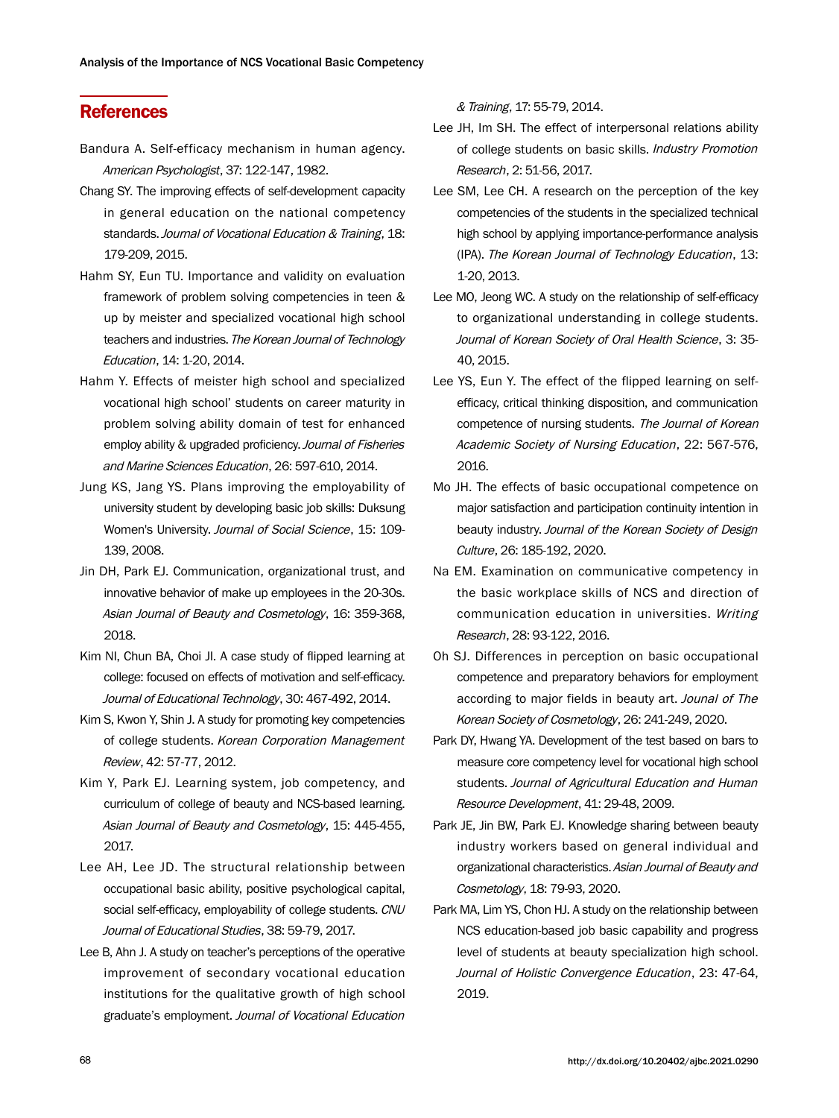# **References**

- Bandura A. Self-efficacy mechanism in human agency. American Psychologist, 37: 122-147, 1982.
- Chang SY. The improving effects of self-development capacity in general education on the national competency standards. Journal of Vocational Education & Training, 18: 179-209, 2015.
- Hahm SY, Eun TU. Importance and validity on evaluation framework of problem solving competencies in teen & up by meister and specialized vocational high school teachers and industries. The Korean Journal of Technology Education, 14: 1-20, 2014.
- Hahm Y. Effects of meister high school and specialized vocational high school' students on career maturity in problem solving ability domain of test for enhanced employ ability & upgraded proficiency. Journal of Fisheries and Marine Sciences Education, 26: 597-610, 2014.
- Jung KS, Jang YS. Plans improving the employability of university student by developing basic job skills: Duksung Women's University. Journal of Social Science, 15: 109- 139, 2008.
- Jin DH, Park EJ. Communication, organizational trust, and innovative behavior of make up employees in the 20-30s. Asian Journal of Beauty and Cosmetology, 16: 359-368, 2018.
- Kim NI, Chun BA, Choi JI. A case study of flipped learning at college: focused on effects of motivation and self-efficacy. Journal of Educational Technology, 30: 467-492, 2014.
- Kim S, Kwon Y, Shin J. A study for promoting key competencies of college students. Korean Corporation Management Review, 42: 57-77, 2012.
- Kim Y, Park EJ. Learning system, job competency, and curriculum of college of beauty and NCS-based learning. Asian Journal of Beauty and Cosmetology, 15: 445-455, 2017.
- Lee AH, Lee JD. The structural relationship between occupational basic ability, positive psychological capital, social self-efficacy, employability of college students. CNU Journal of Educational Studies, 38: 59-79, 2017.
- Lee B, Ahn J. A study on teacher's perceptions of the operative improvement of secondary vocational education institutions for the qualitative growth of high school graduate's employment. Journal of Vocational Education

& Training, 17: 55-79, 2014.

- Lee JH, Im SH. The effect of interpersonal relations ability of college students on basic skills. Industry Promotion Research, 2: 51-56, 2017.
- Lee SM, Lee CH. A research on the perception of the key competencies of the students in the specialized technical high school by applying importance-performance analysis (IPA). The Korean Journal of Technology Education, 13: 1-20, 2013.
- Lee MO, Jeong WC. A study on the relationship of self-efficacy to organizational understanding in college students. Journal of Korean Society of Oral Health Science, 3: 35- 40, 2015.
- Lee YS, Eun Y. The effect of the flipped learning on selfefficacy, critical thinking disposition, and communication competence of nursing students. The Journal of Korean Academic Society of Nursing Education, 22: 567-576, 2016.
- Mo JH. The effects of basic occupational competence on major satisfaction and participation continuity intention in beauty industry. Journal of the Korean Society of Design Culture, 26: 185-192, 2020.
- Na EM. Examination on communicative competency in the basic workplace skills of NCS and direction of communication education in universities. Writing Research, 28: 93-122, 2016.
- Oh SJ. Differences in perception on basic occupational competence and preparatory behaviors for employment according to major fields in beauty art. Jounal of The Korean Society of Cosmetology, 26: 241-249, 2020.
- Park DY, Hwang YA. Development of the test based on bars to measure core competency level for vocational high school students. Journal of Agricultural Education and Human Resource Development, 41: 29-48, 2009.
- Park JE, Jin BW, Park EJ. Knowledge sharing between beauty industry workers based on general individual and organizational characteristics. Asian Journal of Beauty and Cosmetology, 18: 79-93, 2020.
- Park MA, Lim YS, Chon HJ. A study on the relationship between NCS education-based job basic capability and progress level of students at beauty specialization high school. Journal of Holistic Convergence Education, 23: 47-64, 2019.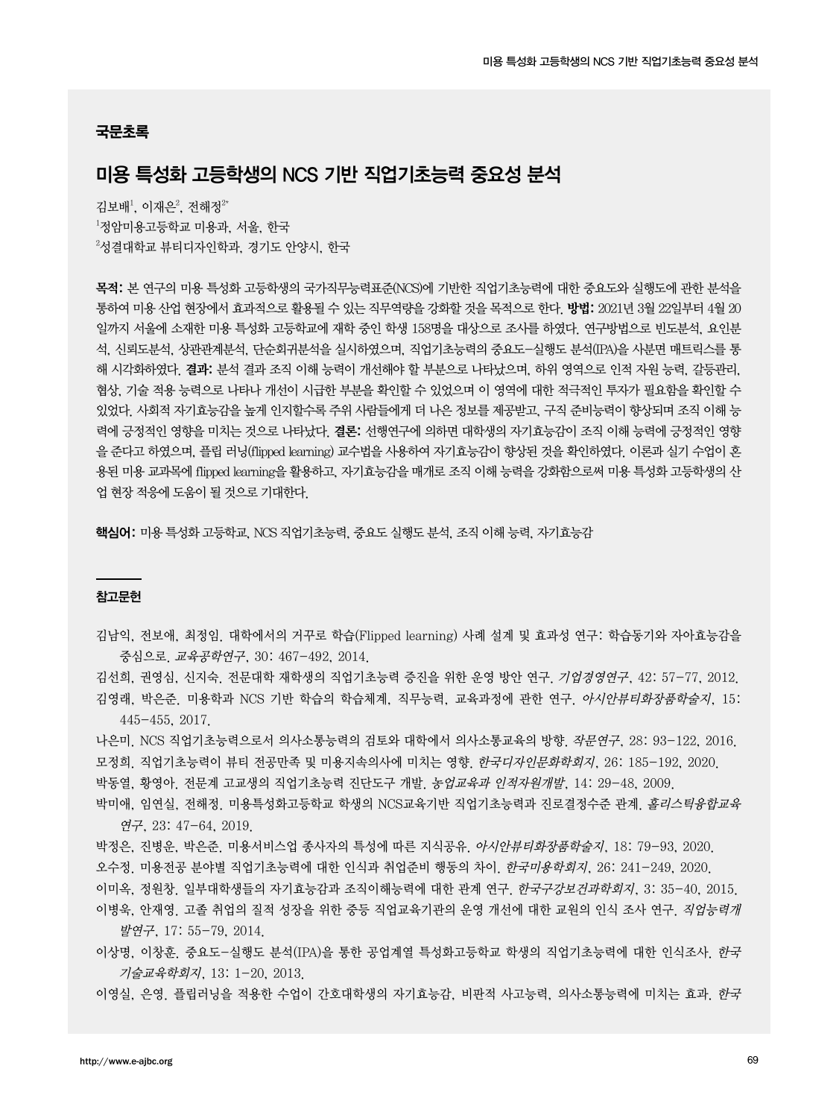#### 국문초록

# 미용 특성화 고등학생의 NCS 기반 직업기초능력 중요성 분석

김보배<sup>1</sup>, 이재은<sup>2</sup>, 전해정<sup>2\*</sup> 1 정암미용고등학교 미용과, 서울, 한국  $^{2}$ 성결대학교 뷰티디자인학과, 경기도 안양시, 한국

목적: 본 연구의 미용 특성화 고등학생의 국가직무능력표준(NCS)에 기반한 직업기초능력에 대한 중요도와 실행도에 관한 분석을 통하여 미용 산업 현장에서 효과적으로 활용될 수 있는 직무역량을 강화할 것을 목적으로 한다. 방법: 2021년 3월 22일부터 4월 20 일까지 서울에 소재한 미용 특성화 고등학교에 재학 중인 학생 158명을 대상으로 조사를 하였다. 연구방법으로 빈도분석, 요인분 석, 신뢰도분석, 상관관계분석, 단순회귀분석을 실시하였으며, 직업기초능력의 중요도-실행도 분석(IPA)을 사분면 매트릭스를 통 해 시각화하였다. 결과: 분석 결과 조직 이해 능력이 개선해야 할 부분으로 나타났으며, 하위 영역으로 인적 자원 능력, 갈등관리, 협상, 기술 적용 능력으로 나타나 개선이 시급한 부분을 확인할 수 있었으며 이 영역에 대한 적극적인 투자가 필요함을 확인할 수 있었다. 사회적 자기효능감을 높게 인지할수록 주위 사람들에게 더 나은 정보를 제공받고, 구직 준비능력이 향상되며 조직 이해 능 력에 긍정적인 영향을 미치는 것으로 나타났다. 결론: 선행연구에 의하면 대학생의 자기효능감이 조직 이해 능력에 긍정적인 영향 을 준다고 하였으며, 플립 러닝(flipped learning) 교수법을 사용하여 자기효능감이 향상된 것을 확인하였다. 이론과 실기 수업이 혼 용된 미용 교과목에 flipped learning을 활용하고, 자기효능감을 매개로 조직 이해 능력을 강화함으로써 미용 특성화 고등학생의 산 업 현장 적응에 도움이 될 것으로 기대한다.

핵심어: 미용 특성화 고등학교, NCS 직업기초능력, 중요도 실행도 분석, 조직 이해 능력, 자기효능감

#### 참고문헌

김남익, 전보애, 최정임. 대학에서의 거꾸로 학습(Flipped learning) 사례 설계 및 효과성 연구: 학습동기와 자아효능감을 중심으로. 교육공학연구, 30: 467-492, 2014.

김선희, 권영심, 신지숙. 전문대학 재학생의 직업기초능력 증진을 위한 운영 방안 연구. 기업경영연구, 42: 57-77, 2012. 김영래, 박은준. 미용학과 NCS 기반 학습의 학습체계, 직무능력, 교육과정에 관한 연구. 아시안뷰티화장품학술지, 15: 445-455, 2017.

나은미. NCS 직업기초능력으로서 의사소통능력의 검토와 대학에서 의사소통교육의 방향. 작문연구, 28: 93-122, 2016. 모정희. 직업기초능력이 뷰티 전공만족 및 미용지속의사에 미치는 영향. 한국디자인문화학회지, 26: 185-192, 2020. 박동열, 황영아. 전문계 고교생의 직업기초능력 진단도구 개발. 농업교육과 인적자원개발, 14: 29-48, 2009.

박미애, 임연실, 전해정, 미용특성화고등학교 학생의 NCS교육기반 직업기초능력과 진로결정수준 관계, *홀리스틱융합교육* 연구, 23: 47-64, 2019.

박정은, 진병운, 박은준. 미용서비스업 종사자의 특성에 따른 지식공유. 아시안뷰티화장품학술지, 18: 79-93, 2020. 오수정. 미용전공 분야별 직업기초능력에 대한 인식과 취업준비 행동의 차이. 한국미용학회지, 26: 241-249, 2020. 이미옥, 정원창. 일부대학생들의 자기효능감과 조직이해능력에 대한 관계 연구. *한국구강보건과학회지*, 3: 35-40, 2015. 이병욱, 안재영. 고졸 취업의 질적 성장을 위한 중등 직업교육기관의 운영 개선에 대한 교원의 인식 조사 연구. 직업능력개

발연구, 17: 55-79, 2014.

이상명, 이창훈. 중요도-실행도 분석(IPA)을 통한 공업계열 특성화고등학교 학생의 직업기초능력에 대한 인식조사. 한국 기술교육학회지, 13: 1-20, 2013.

이영실, 은영. 플립러닝을 적용한 수업이 간호대학생의 자기효능감, 비판적 사고능력, 의사소통능력에 미치는 효과. 한국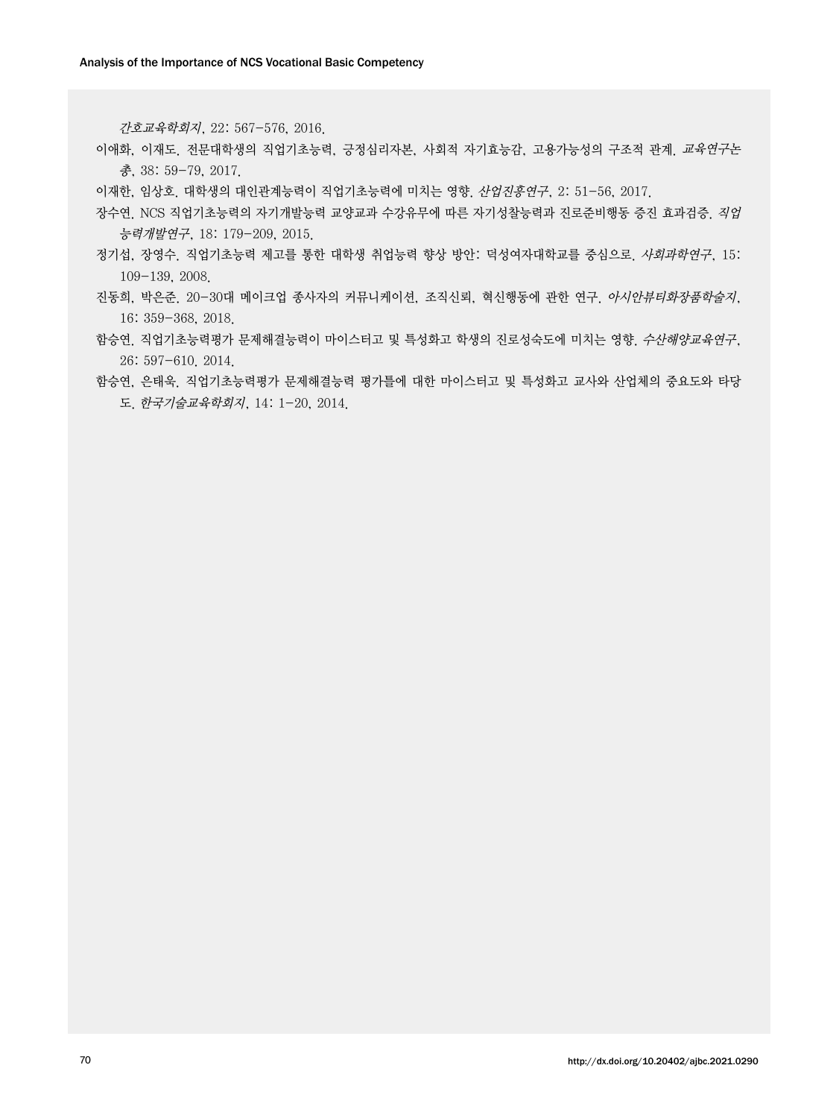간호교육학회지, 22: 567-576, 2016.

- 이애화, 이재도. 전문대학생의 직업기초능력, 긍정심리자본, 사회적 자기효능감, 고용가능성의 구조적 관계. 교육연구논 총, 38: 59-79, 2017.
- 이재한, 임상호. 대학생의 대인관계능력이 직업기초능력에 미치는 영향. 산업진흥연구, 2: 51-56, 2017.
- 장수연. NCS 직업기초능력의 자기개발능력 교양교과 수강유무에 따른 자기성찰능력과 진로준비행동 증진 효과검증. 직업 능력개발연구, 18: 179-209, 2015.
- 정기섭, 장영수. 직업기초능력 제고를 통한 대학생 취업능력 향상 방안: 덕성여자대학교를 중심으로. 사회과학연구, 15: 109-139, 2008.
- 진동희, 박은준. 20-30대 메이크업 종사자의 커뮤니케이션, 조직신뢰, 혁신행동에 관한 연구. 아시안뷰티화장품학술지, 16: 359-368, 2018.
- 함승연. 직업기초능력평가 문제해결능력이 마이스터고 및 특성화고 학생의 진로성숙도에 미치는 영향. 수산해양교육연구, 26: 597-610. 2014.
- 함승연, 은태욱. 직업기초능력평가 문제해결능력 평가틀에 대한 마이스터고 및 특성화고 교사와 산업체의 중요도와 타당 도. 한국기술교육학회지, 14: 1-20, 2014.